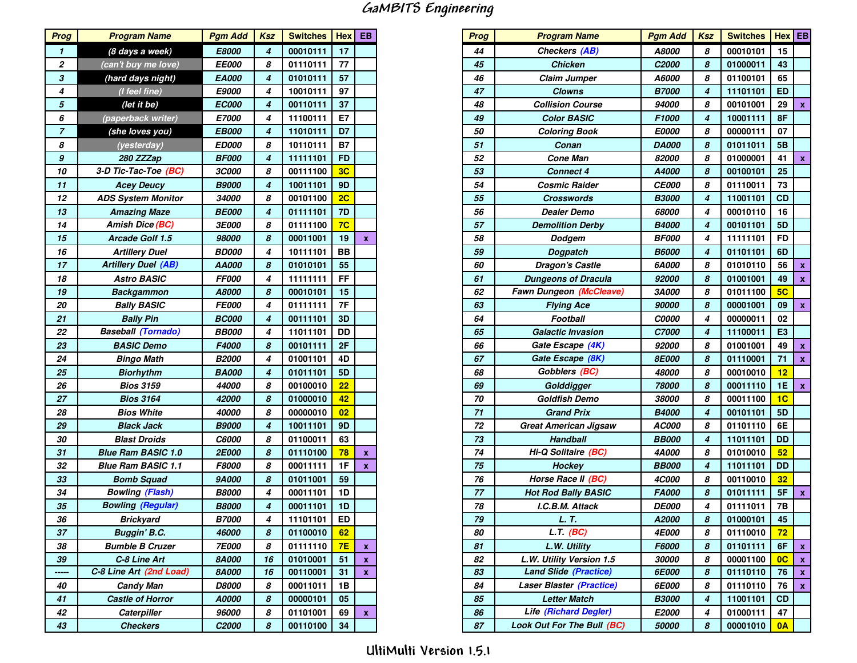## GaMBITS Engineering

| <b>Prog</b>      | <b>Program Name</b>        | <b>Pgm Add</b>      | <b>Ksz</b> | <b>Switches</b> | <b>Hex</b>     | EB |
|------------------|----------------------------|---------------------|------------|-----------------|----------------|----|
| 1                | (8 days a week)            | E8000               | 4          | 00010111        | 17             |    |
| 2                | (can't buy me love)        | <b>EE000</b>        | 8          | 01110111        | 77             |    |
| 3                | (hard days night)          | EA000               | 4          | 01010111        | 57             |    |
| 4                | (I feel fine)              | E9000               | 4          | 10010111        | 97             |    |
| 5                | (let it be)                | <b>EC000</b>        | 4          | 00110111        | 37             |    |
| 6                | (paperback writer)         | E7000               | 4          | 11100111        | E7             |    |
| $\overline{7}$   | (she loves you)            | <b>EB000</b>        | 4          | 11010111        | D7             |    |
| 8                | (yesterday)                | <b>ED000</b>        | 8          | 10110111        | <b>B7</b>      |    |
| $\boldsymbol{g}$ | 280 ZZZap                  | <b>BF000</b>        | 4          | 11111101        | <b>FD</b>      |    |
| 10               | 3-D Tic-Tac-Toe (BC)       | <b>3C000</b>        | 8          | 00111100        | 3C             |    |
| 11               | <b>Acey Deucy</b>          | <b>B9000</b>        | 4          | 10011101        | 9D             |    |
| 12               | <b>ADS System Monitor</b>  | <i><b>34000</b></i> | 8          | 00101100        | 2C             |    |
| 13               | <b>Amazing Maze</b>        | <b>BE000</b>        | 4          | 01111101        | 7D             |    |
| 14               | <b>Amish Dice (BC)</b>     | <i><b>3E000</b></i> | 8          | 01111100        | 7 <sub>C</sub> |    |
| 15               | Arcade Golf 1.5            | 98000               | 8          | 00011001        | 19             | x  |
| 16               | <b>Artillery Duel</b>      | <b>BD000</b>        | 4          | 10111101        | ВB             |    |
| 17               | <b>Artillery Duel (AB)</b> | AA000               | 8          | 01010101        | 55             |    |
| 18               | <b>Astro BASIC</b>         | <b>FF000</b>        | 4          | 11111111        | FF             |    |
| 19               | <b>Backgammon</b>          | A8000               | 8          | 00010101        | 15             |    |
| 20               | <b>Bally BASIC</b>         | <b>FE000</b>        | 4          | 01111111        | 7F             |    |
| 21               | <b>Bally Pin</b>           | <b>BC000</b>        | 4          | 00111101        | 3D             |    |
| 22               | <b>Baseball (Tornado)</b>  | <b>BB000</b>        | 4          | 11011101        | DD             |    |
| 23               | <b>BASIC Demo</b>          | F4000               | 8          | 00101111        | 2F             |    |
| 24               | <b>Bingo Math</b>          | <b>B2000</b>        | 4          | 01001101        | 4D             |    |
| 25               | <b>Biorhythm</b>           | <b>BA000</b>        | 4          | 01011101        | 5D             |    |
| 26               | <b>Bios 3159</b>           | 44000               | 8          | 00100010        | 22             |    |
| 27               | <b>Bios 3164</b>           | 42000               | 8          | 01000010        | 42             |    |
| 28               | Bios White                 | <i><b>40000</b></i> | 8          | 00000010        | 02             |    |
| 29               | <b>Black Jack</b>          | <b>B9000</b>        | 4          | 10011101        | 9D             |    |
| 30               | <b>Blast Droids</b>        | <i><b>C6000</b></i> | 8          | 01100011        | 63             |    |
| 31               | <b>Blue Ram BASIC 1.0</b>  | <b>2E000</b>        | 8          | 01110100        | 78             | x  |
| 32               | <b>Blue Ram BASIC 1.1</b>  | F8000               | 8          | 00011111        | 1F             | x  |
| 33               | <b>Bomb Squad</b>          | <b>9A000</b>        | 8          | 01011001        | 59             |    |
| 34               | <b>Bowling (Flash)</b>     | <b>B8000</b>        | 4          | 00011101        | 1D             |    |
| 35               | <b>Bowling (Regular)</b>   | <b>B8000</b>        | 4          | 00011101        | 1D             |    |
| 36               | Brickyard                  | <b>B7000</b>        | 4          | 11101101        | ED             |    |
| 37               | Buggin' B.C.               | 46000               | 8          | 01100010        | 62             |    |
| 38               | <b>Bumble B Cruzer</b>     | <b>7E000</b>        | 8          | 01111110        | <b>7E</b>      | x  |
| 39               | C-8 Line Art               | <b>8A000</b>        | 16         | 01010001        | 51             | x  |
| -----            | C-8 Line Art (2nd Load)    | <b>8A000</b>        | 16         | 00110001        | 31             | x  |
| 40               | Candy Man                  | <b>D8000</b>        | 8          | 00011011        | 1Β             |    |
| 41               | <b>Castle of Horror</b>    | A0000               | 8          | 00000101        | 05             |    |
| 42               | Caterpiller                | 96000               | 8          | 01101001        | 69             | x  |
| 43               | <b>Checkers</b>            | C2000               | 8          | 00110100        | 34             |    |

| rog            | <b>Program Name</b>        | <b>Pgm Add</b>      | Ksz              | Switches   Hex   EB |                |                    | <b>Prog</b> | <b>Program Name</b>               | <b>Pgm Add</b>      | <b>Ksz</b>       | Switches   Hex   EB |                |                           |
|----------------|----------------------------|---------------------|------------------|---------------------|----------------|--------------------|-------------|-----------------------------------|---------------------|------------------|---------------------|----------------|---------------------------|
| 1              | (8 days a week)            | E8000               | $\overline{4}$   | 00010111            | 17             |                    | 44          | Checkers (AB)                     | <b>A8000</b>        | 8                | 00010101            | 15             |                           |
| $\overline{2}$ | (can't buy me love)        | <b>EE000</b>        | 8                | 01110111            | 77             |                    | 45          | <b>Chicken</b>                    | C2000               | 8                | 01000011            | 43             |                           |
| 3              | (hard days night)          | EA000               | $\overline{4}$   | 01010111            | 57             |                    | 46          | <b>Claim Jumper</b>               | A6000               | 8                | 01100101            | 65             |                           |
| $\frac{4}{1}$  | (I feel fine)              | <b>E9000</b>        | $\overline{4}$   | 10010111            | 97             |                    | 47          | <b>Clowns</b>                     | <b>B7000</b>        | $\boldsymbol{4}$ | 11101101            | <b>ED</b>      |                           |
|                | (let it be)                | <b>EC000</b>        | $\overline{4}$   | 00110111            | 37             |                    | 48          | <b>Collision Course</b>           | 94000               | 8                | 00101001            | 29             | $\boldsymbol{\mathsf{x}}$ |
| $\frac{5}{6}$  | (paperback writer)         | <b>E7000</b>        | 4                | 11100111            | E7             |                    | 49          | <b>Color BASIC</b>                | F1000               | $\boldsymbol{4}$ | 10001111            | 8F             |                           |
| $\overline{z}$ | (she loves you)            | <b>EB000</b>        | $\boldsymbol{4}$ | 11010111            | D7             |                    | 50          | <b>Coloring Book</b>              | E0000               | 8                | 00000111            | 07             |                           |
| 8              | (yesterday)                | <b>ED000</b>        | 8                | 10110111            | <b>B7</b>      |                    | 51          | Conan                             | <b>DA000</b>        | 8                | 01011011            | 5B             |                           |
| 9              | 280 ZZZap                  | <b>BF000</b>        | $\boldsymbol{4}$ | 11111101            | <b>FD</b>      |                    | 52          | <b>Cone Man</b>                   | 82000               | 8                | 01000001            | 41             | $\mathbf{x}$              |
| 10             | 3-D Tic-Tac-Toe (BC)       | <b>3C000</b>        | 8                | 00111100            | 3 <sub>C</sub> |                    | 53          | <b>Connect 4</b>                  | A4000               | 8                | 00100101            | 25             |                           |
| 11             | <b>Acey Deucy</b>          | <b>B9000</b>        | 4                | 10011101            | <b>9D</b>      |                    | 54          | <b>Cosmic Raider</b>              | <b>CE000</b>        | 8                | 01110011            | 73             |                           |
| 12             | <b>ADS System Monitor</b>  | 34000               | 8                | 00101100            | 2C             |                    | 55          | <b>Crosswords</b>                 | <b>B3000</b>        | $\boldsymbol{4}$ | 11001101            | <b>CD</b>      |                           |
| 13             | <b>Amazing Maze</b>        | <b>BE000</b>        | 4                | 01111101            | 7D             |                    | 56          | Dealer Demo                       | 68000               | 4                | 00010110            | 16             |                           |
| 14             | <b>Amish Dice (BC)</b>     | <b>3E000</b>        | 8                | 01111100            | 7 <sub>C</sub> |                    | 57          | <b>Demolition Derby</b>           | <b>B4000</b>        | $\boldsymbol{4}$ | 00101101            | 5 <sub>D</sub> |                           |
| 15             | Arcade Golf 1.5            | 98000               | 8                | 00011001            | 19             | $\pmb{\mathsf{x}}$ | 58          | Dodgem                            | <b>BF000</b>        | 4                | 11111101            | <b>FD</b>      |                           |
| 16             | <b>Artillery Duel</b>      | <b>BD000</b>        | $\overline{4}$   | 10111101            | <b>BB</b>      |                    | 59          | <b>Dogpatch</b>                   | <b>B6000</b>        | $\boldsymbol{4}$ | 01101101            | 6D             |                           |
| 17             | <b>Artillery Duel (AB)</b> | AA000               | 8                | 01010101            | 55             |                    | 60          | <b>Dragon's Castle</b>            | 6A000               | 8                | 01010110            | 56             | $\mathbf{x}$              |
| 18             | <b>Astro BASIC</b>         | <b>FF000</b>        | 4                | 11111111            | <b>FF</b>      |                    | 61          | <b>Dungeons of Dracula</b>        | 92000               | 8                | 01001001            | 49             | $\boldsymbol{\mathsf{X}}$ |
| 19             | Backgammon                 | A8000               | 8                | 00010101            | 15             |                    | 62          | <b>Fawn Dungeon (McCleave)</b>    | 3A000               | 8                | 01011100            | 5C             |                           |
| 20             | <b>Bally BASIC</b>         | <b>FE000</b>        | $\overline{4}$   | 01111111            | 7F             |                    | 63          | <b>Flying Ace</b>                 | 90000               | 8                | 00001001            | 09             | $\boldsymbol{\mathsf{x}}$ |
| 21             | <b>Bally Pin</b>           | <b>BC000</b>        | $\overline{4}$   | 00111101            | 3D             |                    | 64          | <b>Football</b>                   | <i><b>C0000</b></i> | 4                | 00000011            | 02             |                           |
| 22             | <b>Baseball (Tornado)</b>  | <b>BB000</b>        | $\overline{4}$   | 11011101            | <b>DD</b>      |                    | 65          | <b>Galactic Invasion</b>          | <i><b>C7000</b></i> | 4                | 11100011            | E <sub>3</sub> |                           |
| 23             | <b>BASIC Demo</b>          | F4000               | 8                | 00101111            | 2F             |                    | 66          | Gate Escape (4K)                  | 92000               | 8                | 01001001            | 49             | $\boldsymbol{\mathsf{x}}$ |
| $\frac{24}{1}$ | Bingo Math                 | <b>B2000</b>        | $\overline{4}$   | 01001101            | 4D             |                    | 67          | Gate Escape (8K)                  | <b>8E000</b>        | 8                | 01110001            | 71             | $\mathbf{x}$              |
| 25             | <b>Biorhythm</b>           | <b>BA000</b>        | 4                | 01011101            | 5D             |                    | 68          | Gobblers (BC)                     | 48000               | 8                | 00010010            | 12             |                           |
| 26             | <b>Bios 3159</b>           | 44000               | 8                | 00100010            | 22             |                    | 69          | Golddigger                        | 78000               | 8                | 00011110            | <b>1E</b>      | $\mathbf{x}$              |
| 27             | <b>Bios 3164</b>           | 42000               | 8                | 01000010            | 42             |                    | 70          | <b>Goldfish Demo</b>              | 38000               | 8                | 00011100            | 1C             |                           |
| 28             | <b>Bios White</b>          | 40000               | 8                | 00000010            | 02             |                    | 71          | <b>Grand Prix</b>                 | <b>B4000</b>        | $\boldsymbol{4}$ | 00101101            | <b>5D</b>      |                           |
| 29             | <b>Black Jack</b>          | <b>B9000</b>        | 4                | 10011101            | <b>9D</b>      |                    | 72          | <b>Great American Jigsaw</b>      | AC000               | 8                | 01101110            | 6E             |                           |
| 30             | <b>Blast Droids</b>        | <i><b>C6000</b></i> | 8                | 01100011            | 63             |                    | 73          | <b>Handball</b>                   | <b>BB000</b>        | $\boldsymbol{4}$ | 11011101            | <b>DD</b>      |                           |
| 31             | <b>Blue Ram BASIC 1.0</b>  | <b>2E000</b>        | 8                | 01110100            | 78             | $\pmb{\chi}$       | 74          | Hi-Q Solitaire (BC)               | 4A000               | 8                | 01010010            | 52             |                           |
| 32             | <b>Blue Ram BASIC 1.1</b>  | F8000               | 8                | 00011111            | 1F             | $\pmb{\mathsf{x}}$ | 75          | Hockey                            | <b>BB000</b>        | $\boldsymbol{4}$ | 11011101            | <b>DD</b>      |                           |
| 33             | <b>Bomb Squad</b>          | <b>9A000</b>        | 8                | 01011001            | 59             |                    | 76          | Horse Race II (BC)                | <b>4C000</b>        | 8                | 00110010            | 32             |                           |
| 34             | <b>Bowling (Flash)</b>     | <b>B8000</b>        | $\overline{4}$   | 00011101            | 1D             |                    | 77          | <b>Hot Rod Bally BASIC</b>        | <b>FA000</b>        | 8                | 01011111            | 5F             | $\mathbf{x}$              |
| 35             | <b>Bowling (Regular)</b>   | <b>B8000</b>        | $\overline{4}$   | 00011101            | 1D             |                    | 78          | I.C.B.M. Attack                   | <b>DE000</b>        | 4                | 01111011            | <b>7B</b>      |                           |
| 36             | <b>Brickyard</b>           | <b>B7000</b>        | 4                | 11101101            | ED             |                    | 79          | L. T.                             | A2000               | 8                | 01000101            | 45             |                           |
| 37             | Buggin' B.C.               | 46000               | 8                | 01100010            | 62             |                    | 80          | $L.T$ (BC)                        | <i><b>4E000</b></i> | 8                | 01110010            | 72             |                           |
| 38             | <b>Bumble B Cruzer</b>     | <b>7E000</b>        | 8                | 01111110            | 7E             | $\mathbf{x}$       | 81          | L.W. Utility                      | <b>F6000</b>        | 8                | 01101111            | 6F             | $\mathbf x$               |
| 39             | C-8 Line Art               | <b>8A000</b>        | 16               | 01010001            | 51             | $\mathbf{x}$       | 82          | L.W. Utility Version 1.5          | 30000               | 8                | 00001100            | $OC$ $x$       |                           |
| ----           | C-8 Line Art (2nd Load)    | <b>8A000</b>        | 16               | 00110001            | 31             | x                  | 83          | <b>Land Slide (Practice)</b>      | <b>6E000</b>        | 8                | 01110110            | 76             | $\mathbf{x}$              |
| 10             | Candy Man                  | <b>D8000</b>        | 8                | 00011011            | 1В             |                    | 84          | <b>Laser Blaster (Practice)</b>   | <b>6E000</b>        | 8                | 01110110            | 76             | $\mathbf{x}$              |
| 11             | <b>Castle of Horror</b>    | A0000               | 8                | 00000101            | 05             |                    | 85          | <b>Letter Match</b>               | <b>B3000</b>        | 4                | 11001101            | <b>CD</b>      |                           |
| 12             | Caterpiller                | 96000               | 8                | 01101001            | 69             | x                  | 86          | <b>Life (Richard Degler)</b>      | E2000               | 4                | 01000111            | 47             |                           |
| 13             | <b>Checkers</b>            | C <sub>2000</sub>   | 8                | 00110100            | 34             |                    | 87          | <b>Look Out For The Bull (BC)</b> | 50000               | 8                | 00001010            | 0A             |                           |